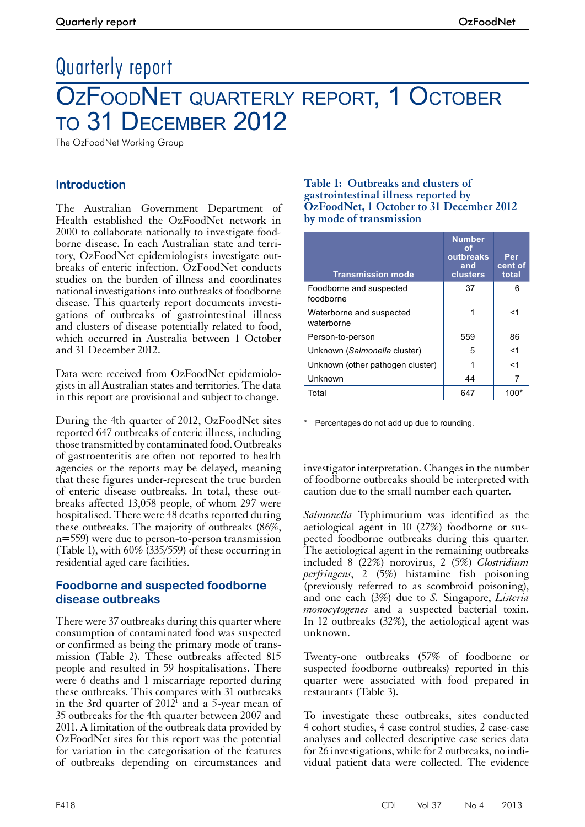# Quarterly report OZFOODNET QUARTERLY REPORT, 1 OCTOBER to 31 December 2012

The OzFoodNet Working Group

# **Introduction**

The Australian Government Department of Health established the OzFoodNet network in 2000 to collaborate nationally to investigate foodborne disease. In each Australian state and territory, OzFoodNet epidemiologists investigate outbreaks of enteric infection. OzFoodNet conducts studies on the burden of illness and coordinates national investigations into outbreaks of foodborne disease. This quarterly report documents investigations of outbreaks of gastrointestinal illness and clusters of disease potentially related to food, which occurred in Australia between 1 October and 31 December 2012.

Data were received from OzFoodNet epidemiologists in all Australian states and territories. The data in this report are provisional and subject to change.

During the 4th quarter of 2012, OzFoodNet sites reported 647 outbreaks of enteric illness, including those transmitted by contaminated food. Outbreaks of gastroenteritis are often not reported to health agencies or the reports may be delayed, meaning that these figures under-represent the true burden of enteric disease outbreaks. In total, these outbreaks affected 13,058 people, of whom 297 were hospitalised. There were 48 deaths reported during these outbreaks. The majority of outbreaks (86%, n=559) were due to person-to-person transmission (Table 1), with 60% (335/559) of these occurring in residential aged care facilities.

# **Foodborne and suspected foodborne disease outbreaks**

There were 37 outbreaks during this quarter where consumption of contaminated food was suspected or confirmed as being the primary mode of trans- mission (Table 2). These outbreaks affected 815 people and resulted in 59 hospitalisations. There were 6 deaths and 1 miscarriage reported during these outbreaks. This compares with 31 outbreaks in the 3rd quarter of  $2012^1$  and a 5-year mean of 35 outbreaks for the 4th quarter between 2007 and 2011. A limitation of the outbreak data provided by OzFoodNet sites for this report was the potential for variation in the categorisation of the features of outbreaks depending on circumstances and

#### **Table 1: Outbreaks and clusters of gastrointestinal illness reported by OzFoodNet, 1 October to 31 December 2012 by mode of transmission**

| <b>Transmission mode</b>               | <b>Number</b><br>οt<br>outbreaks<br>and<br>clusters | Per<br>cent of<br>total |
|----------------------------------------|-----------------------------------------------------|-------------------------|
| Foodborne and suspected<br>foodborne   | 37                                                  | 6                       |
| Waterborne and suspected<br>waterborne |                                                     | <1                      |
| Person-to-person                       | 559                                                 | 86                      |
| Unknown (Salmonella cluster)           | 5                                                   | $<$ 1                   |
| Unknown (other pathogen cluster)       |                                                     | $<$ 1                   |
| Unknown                                | 44                                                  | 7                       |
| Total                                  | 647                                                 | 100*                    |

Percentages do not add up due to rounding.

investigator interpretation. Changes in the number of foodborne outbreaks should be interpreted with caution due to the small number each quarter.

*Salmonella* Typhimurium was identified as the aetiological agent in 10 (27%) foodborne or suspected foodborne outbreaks during this quarter. The aetiological agent in the remaining outbreaks included 8 (22%) norovirus, 2 (5%) *Clostridium perfringens*, 2 (5%) histamine fish poisoning (previously referred to as scombroid poisoning), and one each (3%) due to *S.* Singapore, *Listeria monocytogenes* and a suspected bacterial toxin. In 12 outbreaks (32%), the aetiological agent was unknown.

Twenty-one outbreaks (57% of foodborne or suspected foodborne outbreaks) reported in this quarter were associated with food prepared in restaurants (Table 3).

To investigate these outbreaks, sites conducted 4 cohort studies, 4 case control studies, 2 case-case analyses and collected descriptive case series data for 26 investigations, while for 2 outbreaks, no individual patient data were collected. The evidence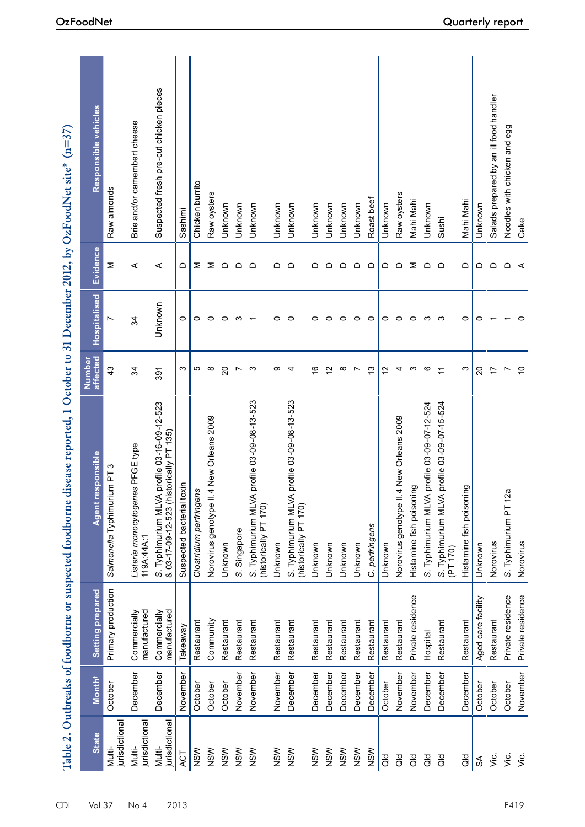|                         |                    |                              | Table 2. Outbreaks of foodborne or suspected foodborne disease reported, 1 October to 31 December 2012, by OzFoodNet site* (n=37) |                    |                     |          |                                        |
|-------------------------|--------------------|------------------------------|-----------------------------------------------------------------------------------------------------------------------------------|--------------------|---------------------|----------|----------------------------------------|
| <b>State</b>            | Month <sup>+</sup> | Setting prepared             | Agent responsible                                                                                                                 | affected<br>Number | <b>Hospitalised</b> | Evidence | Responsible vehicles                   |
| jurisdictiona<br>Multi- | October            | Primary production           | Salmonella Typhimurium PT 3                                                                                                       | 43                 | Ņ                   | Σ        | Raw almonds                            |
| jurisdictiona<br>Multi- | December           | manufactured<br>Commercially | Listeria monocytogenes PFGE type<br>119A:44A:1                                                                                    | 34                 | 34                  | ⋖        | Brie and/or camembert cheese           |
| jurisdictiona<br>Multi- | December           | manufactured<br>Commercially | profile 03-16-09-12-523<br>S. Typhimurium MLVA profile 03-16-09<br>& 03-17-09-12-523 (historically PT 135)                        | 391                | Unknown             | ⋖        | Suspected fresh pre-cut chicken pieces |
| ACT                     | November           | Takeaway                     | Suspected bacterial toxin                                                                                                         | ω                  | 0                   | ≏        | Sashimi                                |
| NSW                     | October            | Restaurant                   | Clostridium perfringens                                                                                                           | Ю                  | 0                   | Σ        | Chicken burrito                        |
| NSW                     | October            | Community                    | Norovirus genotype II.4 New Orleans 2009                                                                                          | $\infty$           | $\circ$             | Σ        | Raw oysters                            |
| NSW                     | October            | Restaurant                   | Unknown                                                                                                                           | $\overline{c}$     | 0                   | $\Omega$ | Unknown                                |
| NSW                     | November           | Restaurant                   | S. Singapore                                                                                                                      | $\overline{ }$     | S                   | $\Omega$ | Unknown                                |
| NSW                     | November           | Restaurant                   | profile 03-09-08-13-523<br>S. Typhimurium MLVA<br>(historically PT 170)                                                           | က                  |                     | $\Omega$ | Unknown                                |
| NSW                     | November           | Restaurant                   | Unknown                                                                                                                           | တ                  | 0                   | ≏        | Unknown                                |
| NSW                     | December           | Restaurant                   | profile 03-09-08-13-523<br>S. Typhimurium MLVA<br>(historically PT 170)                                                           | 4                  | $\circ$             | $\Omega$ | Unknown                                |
| NSW                     | December           | Restaurant                   | Unknown                                                                                                                           | $\frac{6}{5}$      | 0                   | ≏        | Unknown                                |
| NSW                     | December           | Restaurant                   | Unknown                                                                                                                           | $\overline{c}$     | $\circ$             | ≏        | Unknown                                |
| NSW                     | December           | Restaurant                   | Unknown                                                                                                                           | $\infty$           | $\circ$             | $\Omega$ | Unknown                                |
| NSW                     | December           | Restaurant                   | Unknown                                                                                                                           | $\overline{ }$     | $\circ$             | $\Omega$ | Unknown                                |
| NSW                     | December           | Restaurant                   | C. perfringens                                                                                                                    | $\tilde{c}$        | $\circ$             | $\Box$   | Roast beef                             |
| aø                      | October            | Restaurant                   | Unknown                                                                                                                           | $\overline{c}$     | $\circ$             | ≏        | Unknown                                |
| as<br>o                 | November           | Restaurant                   | Norovirus genotype II.4 New Orleans 2009                                                                                          | 4                  | $\circ$             | $\Omega$ | Raw oysters                            |
| as<br>o                 | November           | Private residence            | Histamine fish poisoning                                                                                                          | S                  | $\circ$             | Σ        | Mahi Mahi                              |
| $\overline{d}$          | December           | Hospital                     | profile 03-09-07-12-524<br>S. Typhimurium MLVA                                                                                    | G                  | S                   | $\Omega$ | Unknown                                |
| $\overline{a}$          | December           | Restaurant                   | profile 03-09-07-15-524<br>S. Typhimurium MLVA<br>(PT 170)                                                                        | $\tilde{t}$        | _ ന                 | $\Omega$ | Sushi                                  |
| $\frac{d}{d}$           | December           | Restaurant                   | Histamine fish poisoning                                                                                                          | ς                  | $\circ$             | ≏        | Mahi Mahi                              |
| $\mathfrak{F}$          | October            | Aged care facility           | Unknown                                                                                                                           | 20                 | $\circ$             | ≏        | Unknown                                |
| ن<br>آ                  | October            | Restaurant                   | Norovirus                                                                                                                         | 17                 |                     | ≏        | Salads prepared by an ill food handler |
| Š.                      | October            | Private residence            | ω<br>S. Typhimurium PT 12                                                                                                         | Ľ                  |                     | $\Omega$ | Noodles with chicken and egg           |
| Š.                      | November           | Private residence            | Norovirus                                                                                                                         | $\overline{C}$     | $\circ$             | ⋖        | Cake                                   |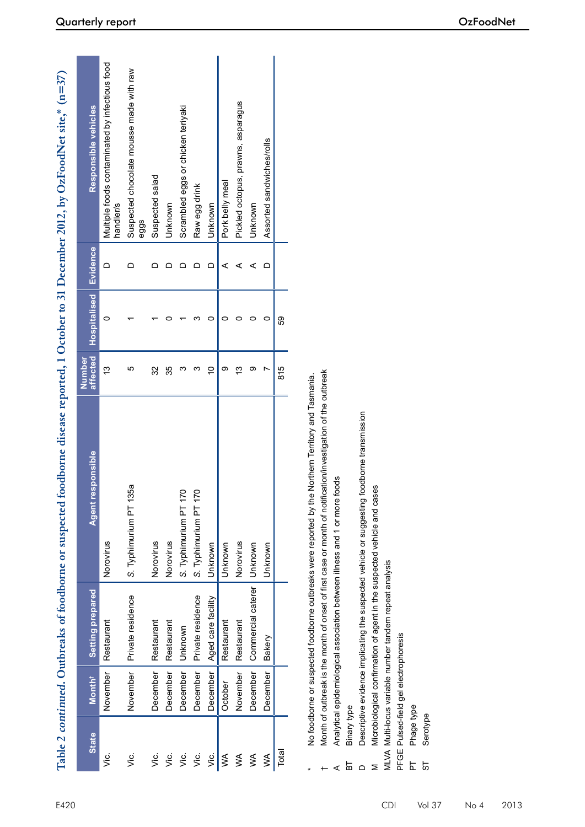|                  |                                       |                                                         | Table 2 continued. Outbreaks of foodborne or suspected                                                       |                    |              |          | foodborne disease reported, 1 October to 31 December 2012, by OzFoodNet site,* (n=37) |
|------------------|---------------------------------------|---------------------------------------------------------|--------------------------------------------------------------------------------------------------------------|--------------------|--------------|----------|---------------------------------------------------------------------------------------|
| <b>State</b>     | Month <sup>+</sup>                    | <b>Setting prepared</b>                                 | responsible<br><b>Agent</b>                                                                                  | affected<br>Number | Hospitalised | Evidence | Responsible vehicles                                                                  |
| ن<br>آ           | November                              | Restaurant                                              | Norovirus                                                                                                    | 13                 | 0            | ≏        | Multiple foods contaminated by infectious food<br>handler/s                           |
| ن<br>آ           | November                              | Private residence                                       | 135a<br>S. Typhimurium PT                                                                                    | 5                  |              | ≏        | Suspected chocolate mousse made with raw<br>eggs                                      |
| υë.              | December                              | Restaurant                                              | Norovirus                                                                                                    | 32                 |              | ≏        | Suspected salad                                                                       |
| Š.               | December                              | Restaurant                                              | Norovirus                                                                                                    | 35                 | 0            | ≏        | Unknown                                                                               |
| Ϋë.              | December                              | Unknown                                                 | $\overline{170}$<br>S. Typhimurium PT                                                                        | ς                  |              | ≏        | Scrambled eggs or chicken teriyaki                                                    |
| γiς.             | December                              | Private residence                                       | 170<br>S. Typhimurium PT                                                                                     | ς                  | ო            | ≏        | Raw egg drink                                                                         |
| ن<br>آ           | December                              | Aged care facility                                      | Unknown                                                                                                      | $\overline{C}$     | $\circ$      | ≏        | Unknown                                                                               |
| $\leq$           | October                               | Restaurant                                              | Unknown                                                                                                      | თ                  | 0            | ⋖        | Pork belly meal                                                                       |
| $\lessgtr$       | November                              | Restaurant                                              | Norovirus                                                                                                    | $\frac{3}{2}$      | 0            | ⋖        | Pickled octopus, prawns, asparagus                                                    |
| $\lessgtr$       | December                              | Commercial caterer                                      | Unknown                                                                                                      | တ                  | 0            | ⋖        | Unknown                                                                               |
| $\lessgtr$       | December                              | Bakery                                                  | Unknown                                                                                                      | Ľ                  | $\circ$      | ≏        | Assorted sandwiches/rolls                                                             |
| Total            |                                       |                                                         |                                                                                                              | 815                | S9           |          |                                                                                       |
|                  |                                       |                                                         | No foodborne or suspected foodborne outbreaks were reported by the Northern Territory and Tasmania.          |                    |              |          |                                                                                       |
|                  |                                       |                                                         | Month of outbreak is the month of onset of first case or month of notification/investigation of the outbreak |                    |              |          |                                                                                       |
|                  |                                       |                                                         | Analytical epidemiological association between illness and 1 or more foods                                   |                    |              |          |                                                                                       |
| Binary type<br>ᆷ |                                       |                                                         |                                                                                                              |                    |              |          |                                                                                       |
|                  |                                       |                                                         | Descriptive evidence implicating the suspected vehicle or suggesting foodborne transmission                  |                    |              |          |                                                                                       |
|                  |                                       |                                                         | Microbiological confirmation of agent in the suspected vehicle and cases                                     |                    |              |          |                                                                                       |
|                  |                                       | MLVA Multi-locus variable number tandem repeat analysis |                                                                                                              |                    |              |          |                                                                                       |
|                  | PFGE Pulsed-field gel electrophoresis |                                                         |                                                                                                              |                    |              |          |                                                                                       |
| Phage type       |                                       |                                                         |                                                                                                              |                    |              |          |                                                                                       |
| Serotype<br>5    |                                       |                                                         |                                                                                                              |                    |              |          |                                                                                       |

\*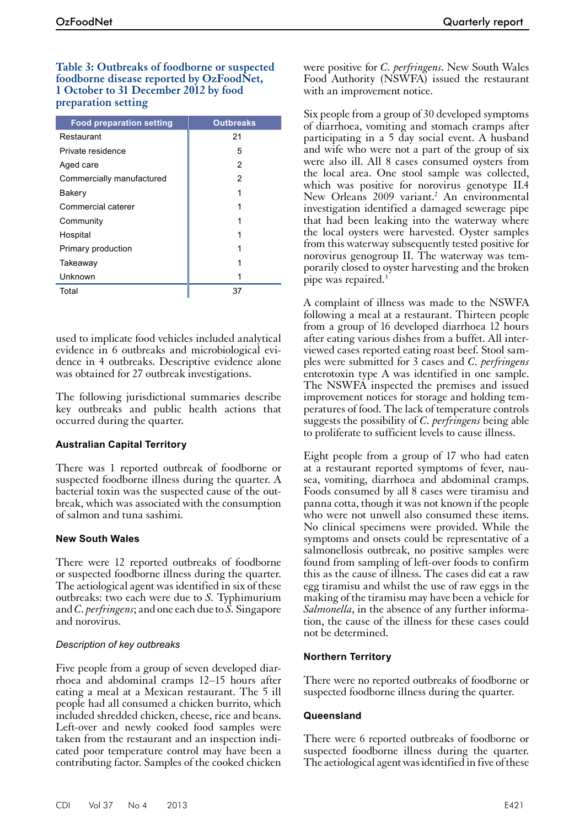**Table 3: Outbreaks of foodborne or suspected foodborne disease reported by OzFoodNet, 1 October to 31 December 2012 by food preparation setting**

| <b>Outbreaks</b> |
|------------------|
|                  |
|                  |
|                  |
|                  |
|                  |
|                  |
|                  |
|                  |
|                  |
|                  |
|                  |
|                  |
|                  |

used to implicate food vehicles included analytical evidence in 6 outbreaks and microbiological evidence in 4 outbreaks. Descriptive evidence alone was obtained for 27 outbreak investigations.

The following jurisdictional summaries describe key outbreaks and public health actions that occurred during the quarter.

## **Australian Capital Territory**

There was 1 reported outbreak of foodborne or suspected foodborne illness during the quarter. A bacterial toxin was the suspected cause of the out- break, which was associated with the consumption of salmon and tuna sashimi.

#### **New South Wales**

There were 12 reported outbreaks of foodborne or suspected foodborne illness during the quarter. The aetiological agent was identified in six of these outbreaks: two each were due to *S.* Typhimurium and *C. perfringens*; and one each due to *S.* Singapore and norovirus.

#### *Description of key outbreaks*

Five people from a group of seven developed diarrhoea and abdominal cramps 12–15 hours after eating a meal at a Mexican restaurant. The 5 ill people had all consumed a chicken burrito, which included shredded chicken, cheese, rice and beans. Left-over and newly cooked food samples were taken from the restaurant and an inspection indicated poor temperature control may have been a contributing factor. Samples of the cooked chicken

Six people from a group of 30 developed symptoms of diarrhoea, vomiting and stomach cramps after participating in a 5 day social event. A husband and wife who were not a part of the group of six were also ill. All 8 cases consumed oysters from the local area. One stool sample was collected, which was positive for norovirus genotype II.4 New Orleans 2009 variant.<sup>2</sup> An environmental investigation identified a damaged sewerage pipe that had been leaking into the waterway where the local oysters were harvested. Oyster samples from this waterway subsequently tested positive for norovirus genogroup II. The waterway was temporarily closed to oyster harvesting and the broken pipe was repaired.3

A complaint of illness was made to the NSWFA following a meal at a restaurant. Thirteen people from a group of 16 developed diarrhoea 12 hours after eating various dishes from a buffet. All interviewed cases reported eating roast beef. Stool samples were submitted for 3 cases and *C. perfringens* enterotoxin type A was identified in one sample. The NSWFA inspected the premises and issued improvement notices for storage and holding temperatures of food. The lack of temperature controls suggests the possibility of *C. perfringens* being able to proliferate to sufficient levels to cause illness.

Eight people from a group of 17 who had eaten at a restaurant reported symptoms of fever, nau- sea, vomiting, diarrhoea and abdominal cramps. Foods consumed by all 8 cases were tiramisu and panna cotta, though it was not known if the people who were not unwell also consumed these items. No clinical specimens were provided. While the symptoms and onsets could be representative of a salmonellosis outbreak, no positive samples were found from sampling of left-over foods to confirm this as the cause of illness. The cases did eat a raw egg tiramisu and whilst the use of raw eggs in the making of the tiramisu may have been a vehicle for *Salmonella*, in the absence of any further information, the cause of the illness for these cases could not be determined.

## **Northern Territory**

There were no reported outbreaks of foodborne or suspected foodborne illness during the quarter.

#### **Queensland**

There were 6 reported outbreaks of foodborne or suspected foodborne illness during the quarter. The aetiological agent was identified in five of these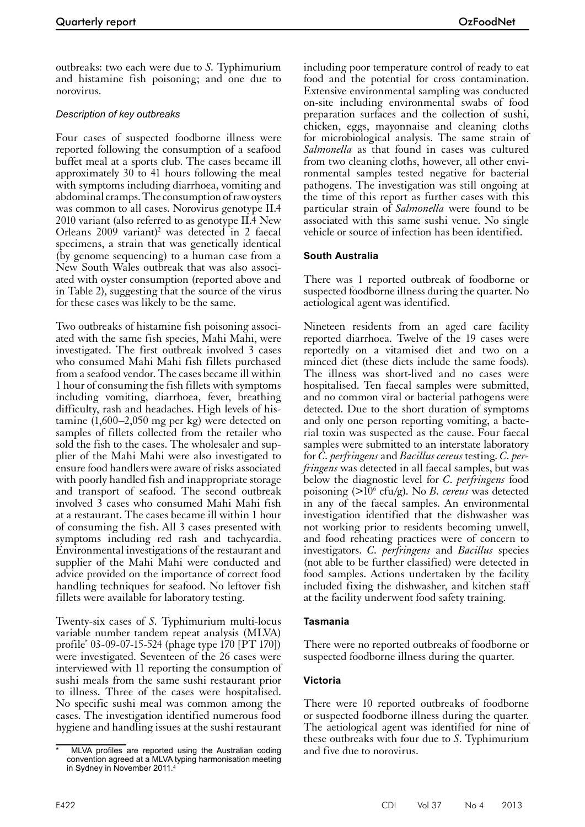outbreaks: two each were due to *S.* Typhimurium and histamine fish poisoning; and one due to norovirus.

## *Description of key outbreaks*

Four cases of suspected foodborne illness were reported following the consumption of a seafood buffet meal at a sports club. The cases became ill approximately 30 to 41 hours following the meal with symptoms including diarrhoea, vomiting and abdominal cramps. The consumption of raw oysters was common to all cases. Norovirus genotype II.4 2010 variant (also referred to as genotype II.4 New Orleans  $2009$  variant)<sup>2</sup> was detected in 2 faecal specimens, a strain that was genetically identical (by genome sequencing) to a human case from a New South Wales outbreak that was also associated with oyster consumption (reported above and in Table 2), suggesting that the source of the virus for these cases was likely to be the same.

Two outbreaks of histamine fish poisoning associated with the same fish species, Mahi Mahi, were investigated. The first outbreak involved 3 cases who consumed Mahi Mahi fish fillets purchased from a seafood vendor. The cases became ill within 1 hour of consuming the fish fillets with symptoms including vomiting, diarrhoea, fever, breathing difficulty, rash and headaches. High levels of histamine (1,600–2,050 mg per kg) were detected on samples of fillets collected from the retailer who sold the fish to the cases. The wholesaler and supplier of the Mahi Mahi were also investigated to ensure food handlers were aware of risks associated with poorly handled fish and inappropriate storage and transport of seafood. The second outbreak involved  $\overline{3}$  cases who consumed Mahi Mahi fish at a restaurant. The cases became ill within 1 hour of consuming the fish. All 3 cases presented with symptoms including red rash and tachycardia. Environmental investigations of the restaurant and supplier of the Mahi Mahi were conducted and advice provided on the importance of correct food handling techniques for seafood. No leftover fish fillets were available for laboratory testing.

Twenty-six cases of *S.* Typhimurium multi-locus variable number tandem repeat analysis (MLVA) profile\* 03-09-07-15-524 (phage type 170 [PT 170]) were investigated. Seventeen of the 26 cases were interviewed with 11 reporting the consumption of sushi meals from the same sushi restaurant prior to illness. Three of the cases were hospitalised. No specific sushi meal was common among the cases. The investigation identified numerous food hygiene and handling issues at the sushi restaurant

including poor temperature control of ready to eat food and the potential for cross contamination. Extensive environmental sampling was conducted on-site including environmental swabs of food preparation surfaces and the collection of sushi, chicken, eggs, mayonnaise and cleaning cloths for microbiological analysis. The same strain of *Salmonella* as that found in cases was cultured from two cleaning cloths, however, all other environmental samples tested negative for bacterial pathogens. The investigation was still ongoing at the time of this report as further cases with this particular strain of *Salmonella* were found to be associated with this same sushi venue. No single vehicle or source of infection has been identified.

## **South Australia**

There was 1 reported outbreak of foodborne or suspected foodborne illness during the quarter. No aetiological agent was identified.

Nineteen residents from an aged care facility reported diarrhoea. Twelve of the 19 cases were reportedly on a vitamised diet and two on a minced diet (these diets include the same foods). The illness was short-lived and no cases were hospitalised. Ten faecal samples were submitted, and no common viral or bacterial pathogens were detected. Due to the short duration of symptoms and only one person reporting vomiting, a bacterial toxin was suspected as the cause. Four faecal samples were submitted to an interstate laboratory for *C. perfringens* and *Bacillus cereus* testing. *C. per- fringens* was detected in all faecal samples, but was below the diagnostic level for *C. perfringens* food poisoning (>10<sup>6</sup> cfu/g). No *B. cereus* was detected in any of the faecal samples. An environmental investigation identified that the dishwasher was not working prior to residents becoming unwell, and food reheating practices were of concern to investigators. *C. perfringens* and *Bacillus* species (not able to be further classified) were detected in food samples. Actions undertaken by the facility included fixing the dishwasher, and kitchen staff at the facility underwent food safety training.

#### **Tasmania**

There were no reported outbreaks of foodborne or suspected foodborne illness during the quarter.

## **Victoria**

There were 10 reported outbreaks of foodborne or suspected foodborne illness during the quarter. The aetiological agent was identified for nine of these outbreaks with four due to *S*. Typhimurium and five due to norovirus.

MLVA profiles are reported using the Australian coding convention agreed at a MLVA typing harmonisation meeting in Sydney in November 2011.<sup>4</sup>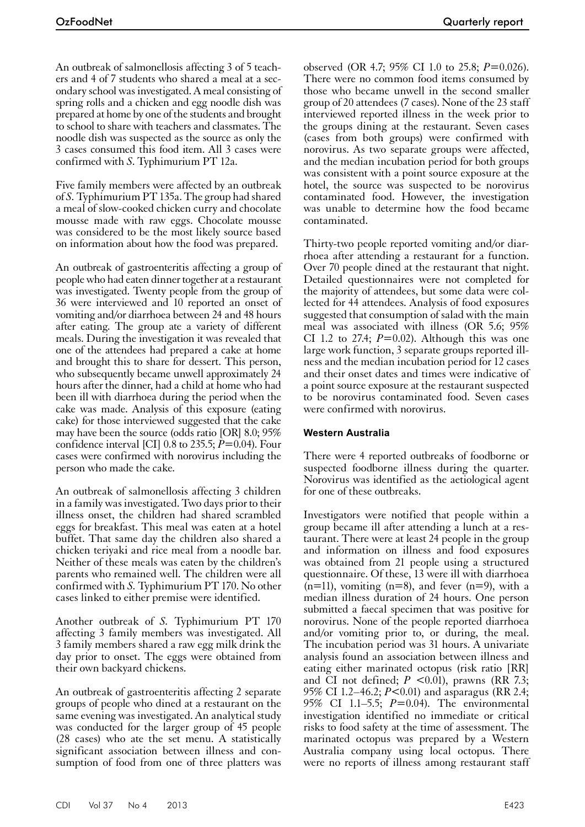An outbreak of salmonellosis affecting 3 of 5 teachers and 4 of 7 students who shared a meal at a secondary school was investigated. A meal consisting of spring rolls and a chicken and egg noodle dish was prepared at home by one of the students and brought to school to share with teachers and classmates. The noodle dish was suspected as the source as only the 3 cases consumed this food item. All 3 cases were confirmed with *S*. Typhimurium PT 12a.

Five family members were affected by an outbreak of *S.* Typhimurium PT 135a. The group had shared a meal of slow-cooked chicken curry and chocolate mousse made with raw eggs. Chocolate mousse was considered to be the most likely source based on information about how the food was prepared.

An outbreak of gastroenteritis affecting a group of people who had eaten dinner together at a restaurant was investigated. Twenty people from the group of 36 were interviewed and 10 reported an onset of vomiting and/or diarrhoea between 24 and 48 hours after eating. The group ate a variety of different meals. During the investigation it was revealed that one of the attendees had prepared a cake at home and brought this to share for dessert. This person, who subsequently became unwell approximately 24 hours after the dinner, had a child at home who had been ill with diarrhoea during the period when the cake was made. Analysis of this exposure (eating cake) for those interviewed suggested that the cake may have been the source (odds ratio [OR] 8.0; 95% confidence interval [CI] 0.8 to 235.5; *P*=0.04). Four cases were confirmed with norovirus including the person who made the cake.

An outbreak of salmonellosis affecting 3 children in a family was investigated. Two days prior to their illness onset, the children had shared scrambled eggs for breakfast. This meal was eaten at a hotel buffet. That same day the children also shared a chicken teriyaki and rice meal from a noodle bar. Neither of these meals was eaten by the children's parents who remained well. The children were all confirmed with *S.* Typhimurium PT 170. No other cases linked to either premise were identified.

Another outbreak of *S.* Typhimurium PT 170 affecting 3 family members was investigated. All 3 family members shared a raw egg milk drink the day prior to onset. The eggs were obtained from their own backyard chickens.

An outbreak of gastroenteritis affecting 2 separate groups of people who dined at a restaurant on the same evening was investigated. An analytical study was conducted for the larger group of 45 people (28 cases) who ate the set menu. A statistically significant association between illness and consumption of food from one of three platters was

observed (OR 4.7; 95% CI 1.0 to 25.8; *P*=0.026). There were no common food items consumed by those who became unwell in the second smaller group of 20 attendees (7 cases). None of the 23 staff interviewed reported illness in the week prior to the groups dining at the restaurant. Seven cases (cases from both groups) were confirmed with norovirus. As two separate groups were affected, and the median incubation period for both groups was consistent with a point source exposure at the hotel, the source was suspected to be norovirus contaminated food. However, the investigation was unable to determine how the food became contaminated.

Thirty-two people reported vomiting and/or diarrhoea after attending a restaurant for a function. Over 70 people dined at the restaurant that night. Detailed questionnaires were not completed for the majority of attendees, but some data were collected for 44 attendees. Analysis of food exposures suggested that consumption of salad with the main meal was associated with illness (OR 5.6; 95% CI 1.2 to 27.4;  $P=0.02$ ). Although this was one large work function, 3 separate groups reported illness and the median incubation period for 12 cases and their onset dates and times were indicative of a point source exposure at the restaurant suspected to be norovirus contaminated food. Seven cases were confirmed with norovirus.

## **Western Australia**

There were 4 reported outbreaks of foodborne or suspected foodborne illness during the quarter. Norovirus was identified as the aetiological agent for one of these outbreaks.

Investigators were notified that people within a group became ill after attending a lunch at a res- taurant. There were at least 24 people in the group and information on illness and food exposures was obtained from 21 people using a structured questionnaire. Of these, 13 were ill with diarrhoea  $(n=11)$ , vomiting  $(n=8)$ , and fever  $(n=9)$ , with a median illness duration of 24 hours. One person submitted a faecal specimen that was positive for norovirus. None of the people reported diarrhoea and/or vomiting prior to, or during, the meal. The incubation period was 31 hours. A univariate analysis found an association between illness and eating either marinated octopus (risk ratio [RR] and CI not defined;  $P \leq 0.01$ ), prawns (RR 7.3; 95% CI 1.2–46.2; *P*<0.01) and asparagus (RR 2.4; 95% CI 1.1–5.5; *P*=0.04). The environmental investigation identified no immediate or critical risks to food safety at the time of assessment. The marinated octopus was prepared by a Western Australia company using local octopus. There were no reports of illness among restaurant staff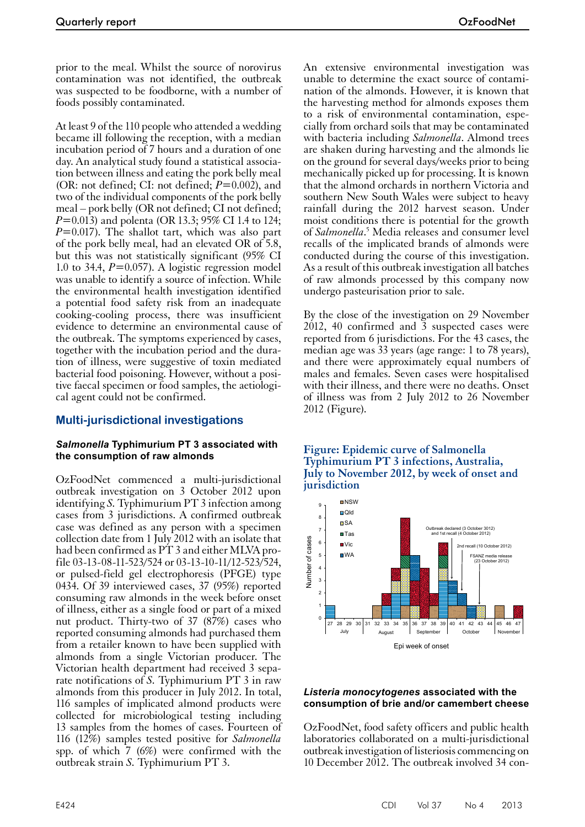prior to the meal. Whilst the source of norovirus contamination was not identified, the outbreak was suspected to be foodborne, with a number of foods possibly contaminated.

At least 9 of the 110 people who attended a wedding became ill following the reception, with a median incubation period of 7 hours and a duration of one day. An analytical study found a statistical association between illness and eating the pork belly meal (OR: not defined; CI: not defined; *P*=0.002), and two of the individual components of the pork belly meal – pork belly (OR not defined; CI not defined; *P*=0.013) and polenta (OR 13.3; 95% CI 1.4 to 124; *P*=0.017). The shallot tart, which was also part of the pork belly meal, had an elevated OR of 5.8, but this was not statistically significant (95% CI 1.0 to 34.4, *P*=0.057). A logistic regression model was unable to identify a source of infection. While the environmental health investigation identified a potential food safety risk from an inadequate cooking-cooling process, there was insufficient evidence to determine an environmental cause of the outbreak. The symptoms experienced by cases, together with the incubation period and the duration of illness, were suggestive of toxin mediated bacterial food poisoning. However, without a positive faecal specimen or food samples, the aetiological agent could not be confirmed.

# **Multi-jurisdictional investigations**

#### *Salmonella* **Typhimurium PT 3 associated with the consumption of raw almonds**

OzFoodNet commenced a multi-jurisdictional outbreak investigation on 3 October 2012 upon identifying *S.* Typhimurium PT 3 infection among cases from 3 jurisdictions. A confirmed outbreak case was defined as any person with a specimen collection date from 1 July 2012 with an isolate that had been confirmed as PT 3 and either MLVA pro-<br>file 03-13-08-11-523/524 or 03-13-10-11/12-523/524, or pulsed-field gel electrophoresis (PFGE) type 0434. Of 39 interviewed cases, 37 (95%) reported consuming raw almonds in the week before onset of illness, either as a single food or part of a mixed nut product. Thirty-two of 37 (87%) cases who reported consuming almonds had purchased them from a retailer known to have been supplied with almonds from a single Victorian producer. The Victorian health department had received 3 sepa- rate notifications of *S.* Typhimurium PT 3 in raw almonds from this producer in July 2012. In total, 116 samples of implicated almond products were collected for microbiological testing including 13 samples from the homes of cases. Fourteen of 116 (12%) samples tested positive for *Salmonella* spp. of which  $\tilde{7}$  (6%) were confirmed with the outbreak strain *S.* Typhimurium PT 3.

An extensive environmental investigation was unable to determine the exact source of contamination of the almonds. However, it is known that the harvesting method for almonds exposes them to a risk of environmental contamination, especially from orchard soils that may be contaminated with bacteria including *Salmonella*. Almond trees are shaken during harvesting and the almonds lie on the ground for several days/weeks prior to being mechanically picked up for processing. It is known that the almond orchards in northern Victoria and southern New South Wales were subject to heavy rainfall during the 2012 harvest season. Under moist conditions there is potential for the growth of *Salmonella*.<sup>5</sup> Media releases and consumer level recalls of the implicated brands of almonds were conducted during the course of this investigation. As a result of this outbreak investigation all batches of raw almonds processed by this company now undergo pasteurisation prior to sale.

By the close of the investigation on 29 November 2012, 40 confirmed and 3 suspected cases were reported from 6 jurisdictions. For the 43 cases, the median age was 33 years (age range: 1 to 78 years), and there were approximately equal numbers of males and females. Seven cases were hospitalised with their illness, and there were no deaths. Onset of illness was from 2 July 2012 to 26 November 2012 (Figure).





#### *Listeria monocytogenes* **associated with the consumption of brie and/or camembert cheese**

OzFoodNet, food safety officers and public health laboratories collaborated on a multi-jurisdictional outbreak investigation of listeriosis commencing on 10 December 2012. The outbreak involved 34 con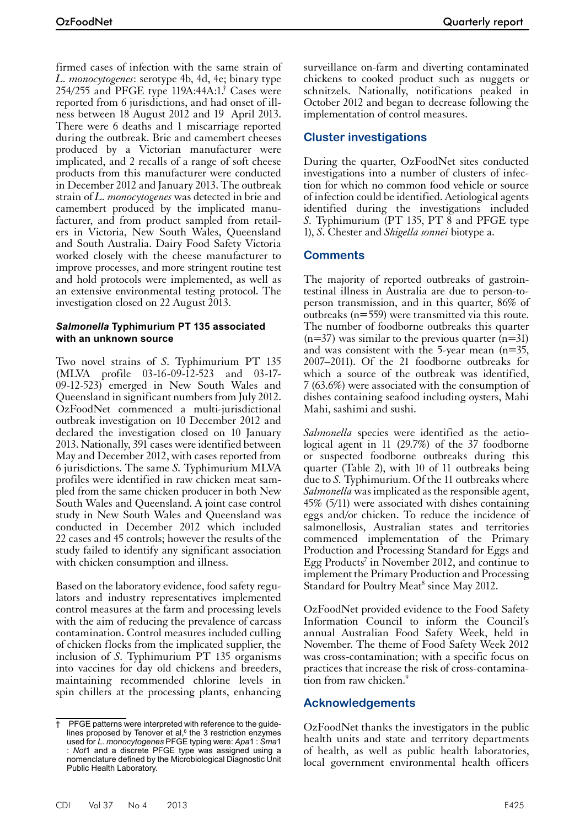firmed cases of infection with the same strain of *L. monocytogenes*: serotype 4b, 4d, 4e; binary type 254/255 and PFGE type 119A:44A:1.† Cases were reported from 6 jurisdictions, and had onset of illness between 18 August 2012 and 19 April 2013. There were 6 deaths and 1 miscarriage reported during the outbreak. Brie and camembert cheeses produced by a Victorian manufacturer were implicated, and 2 recalls of a range of soft cheese products from this manufacturer were conducted in December 2012 and January 2013. The outbreak strain of *L. monocytogenes* was detected in brie and camembert produced by the implicated manufacturer, and from product sampled from retailers in Victoria, New South Wales, Queensland and South Australia. Dairy Food Safety Victoria worked closely with the cheese manufacturer to improve processes, and more stringent routine test and hold protocols were implemented, as well as an extensive environmental testing protocol. The investigation closed on 22 August 2013.

#### *Salmonella* **Typhimurium PT 135 associated with an unknown source**

Two novel strains of *S*. Typhimurium PT 135 (MLVA profile 03-16-09-12-523 and 03-17- 09-12-523) emerged in New South Wales and Queensland in significant numbers from July 2012. OzFoodNet commenced a multi-jurisdictional outbreak investigation on 10 December 2012 and declared the investigation closed on 10 January 2013. Nationally, 391 cases were identified between May and December 2012, with cases reported from 6 jurisdictions. The same *S.* Typhimurium MLVA profiles were identified in raw chicken meat sam- pled from the same chicken producer in both New South Wales and Queensland. A joint case control study in New South Wales and Queensland was conducted in December 2012 which included 22 cases and 45 controls; however the results of the study failed to identify any significant association with chicken consumption and illness.

Based on the laboratory evidence, food safety regulators and industry representatives implemented control measures at the farm and processing levels with the aim of reducing the prevalence of carcass contamination. Control measures included culling of chicken flocks from the implicated supplier, the inclusion of *S*. Typhimurium PT 135 organisms into vaccines for day old chickens and breeders, maintaining recommended chlorine levels in spin chillers at the processing plants, enhancing surveillance on-farm and diverting contaminated chickens to cooked product such as nuggets or schnitzels. Nationally, notifications peaked in October 2012 and began to decrease following the implementation of control measures.

# **Cluster investigations**

During the quarter, OzFoodNet sites conducted investigations into a number of clusters of infection for which no common food vehicle or source of infection could be identified. Aetiological agents identified during the investigations included *S.* Typhimurium (PT 135, PT 8 and PFGE type 1), *S*. Chester and *Shigella sonnei* biotype a.

# **Comments**

The majority of reported outbreaks of gastrointestinal illness in Australia are due to person-toperson transmission, and in this quarter, 86% of outbreaks (n=559) were transmitted via this route. The number of foodborne outbreaks this quarter  $(n=37)$  was similar to the previous quarter  $(n=31)$ and was consistent with the 5-year mean (n=35, 2007–2011). Of the 21 foodborne outbreaks for which a source of the outbreak was identified, 7 (63.6%) were associated with the consumption of dishes containing seafood including oysters, Mahi Mahi, sashimi and sushi.

*Salmonella* species were identified as the aetiological agent in 11 (29.7%) of the 37 foodborne or suspected foodborne outbreaks during this quarter (Table 2), with 10 of 11 outbreaks being due to *S.* Typhimurium. Of the 11 outbreaks where *Salmonella* was implicated as the responsible agent, 45% (5/11) were associated with dishes containing eggs and/or chicken. To reduce the incidence of salmonellosis, Australian states and territories commenced implementation of the Primary Production and Processing Standard for Eggs and Egg Products<sup>7</sup> in November 2012, and continue to implement the Primary Production and Processing Standard for Poultry Meat<sup>8</sup> since May 2012.

OzFoodNet provided evidence to the Food Safety Information Council to inform the Council's annual Australian Food Safety Week, held in November. The theme of Food Safety Week 2012 was cross-contamination; with a specific focus on practices that increase the risk of cross-contamina-<br>tion from raw chicken.<sup>9</sup>

# **Acknowledgements**

OzFoodNet thanks the investigators in the public health units and state and territory departments of health, as well as public health laboratories, local government environmental health officers

<sup>†</sup> PFGE patterns were interpreted with reference to the guidelines proposed by Tenover et al, $6$  the 3 restriction enzymes used for *L. monocytogenes* PFGE typing were: *Apa*1 : *Sma*1 : *Not*1 and a discrete PFGE type was assigned using a nomenclature defined by the Microbiological Diagnostic Unit Public Health Laboratory.